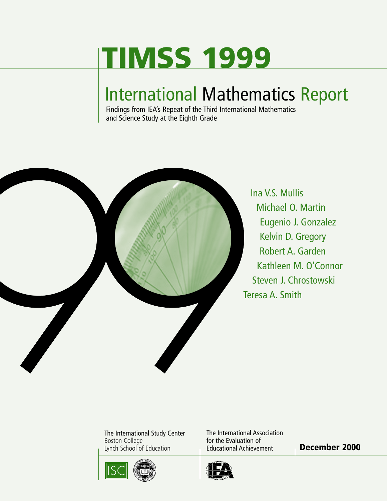# **TIMSS 1999**

## International Mathematics Report

Findings from IEA's Repeat of the Third International Mathematics and Science Study at the Eighth Grade



The International Study Center Boston College Lynch School of Education **December 2000**



The International Association for the Evaluation of Educational Achievement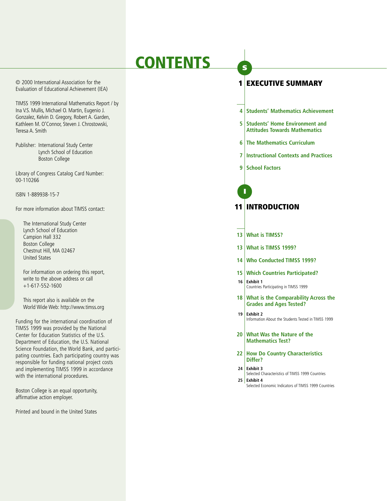## **CONTENTS**

© 2000 International Association for the Evaluation of Educational Achievement (IEA)

TIMSS 1999 International Mathematics Report / by Ina V.S. Mullis, Michael O. Martin, Eugenio J. Gonzalez, Kelvin D. Gregory, Robert A. Garden, Kathleen M. O'Connor, Steven J. Chrostowski, Teresa A. Smith

Publisher: International Study Center Lynch School of Education Boston College

Library of Congress Catalog Card Number: 00-110266

ISBN 1-889938-15-7

For more information about TIMSS contact:

The International Study Center Lynch School of Education Campion Hall 332 Boston College Chestnut Hill, MA 02467 United States

For information on ordering this report, write to the above address or call  $+1-617-552-1600$ 

This report also is available on the World Wide Web: http://www.timss.org

Funding for the international coordination of TIMSS 1999 was provided by the National Center for Education Statistics of the U.S. Department of Education, the U.S. National Science Foundation, the World Bank, and participating countries. Each participating country was responsible for funding national project costs and implementing TIMSS 1999 in accordance with the international procedures.

Boston College is an equal opportunity, affirmative action employer.

Printed and bound in the United States

## **1 EXECUTIVE SUMMARY**

- **4 Students' Mathematics Achievement**
- **5** Students' Home Environment and **Attitudes Towards Mathematics**
- **6 The Mathematics Curriculum**
- **7 Instructional Contexts and Practices**
- **9** School Factors

**I**

**S**

## **11 INTRODUCTION**

- **13 What is TIMSS?**
- **13 What is TIMSS 1999?**
- **14 Who Conducted TIMSS 1999?**
- **15 Which Countries Participated? 16 Exhibit 1**
	- Countries Participating in TIMSS 1999
- **18 What is the Comparability Across the Grades and Ages Tested?**
- **19 Exhibit 2** Information About the Students Tested in TIMSS 1999
- **20 What Was the Nature of the Mathematics Test?**
- **22 How Do Country Characteristics Differ?**
- **24 Exhibit 3** Selected Characteristics of TIMSS 1999 Countries **25 Exhibit 4**
	- Selected Economic Indicators of TIMSS 1999 Countries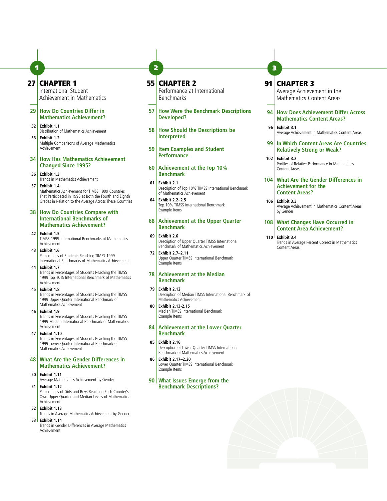## **27 CHAPTER 1**

International Student Achievement in Mathematics

**1 2**

#### **29 How Do Countries Differ in Mathematics Achievement?**

- **32 Exhibit 1.1** Distribution of Mathematics Achievement **33 Exhibit 1.2**
- Multiple Comparisons of Average Mathematics Achievement
- **34 How Has Mathematics Achievement Changed Since 1995?**
- **36 Exhibit 1.3** Trends in Mathematics Achievement
- **37 Exhibit 1.4** Mathematics Achievement for TIMSS 1999 Countries That Participated in 1995 at Both the Fourth and Eighth Grades in Relation to the Average Across These Countries
- **38 How Do Countries Compare with International Benchmarks of Mathematics Achievement?**
- **42 Exhibit 1.5** TIMSS 1999 International Benchmarks of Mathematics Achievement
- **43 Exhibit 1.6** Percentages of Students Reaching TIMSS 1999 International Benchmarks of Mathematics Achievement

**44 Exhibit 1.7** Trends in Percentages of Students Reaching the TIMSS 1999 Top 10% International Benchmark of Mathematics Achievement

#### **45 Exhibit 1.8** Trends in Percentages of Students Reaching the TIMSS 1999 Upper Quarter International Benchmark of Mathematics Achievement

**46 Exhibit 1.9**

Trends in Percentages of Students Reaching the TIMSS 1999 Median International Benchmark of Mathematics Achievement

**47 Exhibit 1.10**

Trends in Percentages of Students Reaching the TIMSS 1999 Lower Quarter International Benchmark of Mathematics Achievement

**48 What Are the Gender Differences in Mathematics Achievement?** 

#### **50 Exhibit 1.11**

Average Mathematics Achievement by Gender **51 Exhibit 1.12**

Percentages of Girls and Boys Reaching Each Country's Own Upper Quarter and Median Levels of Mathematics Achievement

**52 Exhibit 1.13**

Trends in Average Mathematics Achievement by Gender **53 Exhibit 1.14**

Trends in Gender Differences in Average Mathematics Achievement

## **55 CHAPTER 2**

Performance at International Benchmarks

- **57 How Were the Benchmark Descriptions Developed?**
- **58 How Should the Descriptions be Interpreted**
- **59 Item Examples and Student Performance**
- **60 Achievement at the Top 10% Benchmark**
- **61 Exhibit 2.1** Description of Top 10% TIMSS International Benchmark of Mathematics Achievement
- **64 Exhibit 2.2–2.5** Top 10% TIMSS International Benchmark Example Items

#### **68 Achievement at the Upper Quarter Benchmark**

- **69 Exhibit 2.6** Description of Upper Quarter TIMSS International Benchmark of Mathematics Achievement
- **72 Exhibit 2.7–2.11** Upper Quarter TIMSS International Benchmark Example Items

#### **78 Achievement at the Median Benchmark**

#### **79 Exhibit 2.12**

Description of Median TIMSS International Benchmark of Mathematics Achievement

**80 Exhibit 2.13-2.15** Median TIMSS International Benchmark Example Items

- **84 Achievement at the Lower Quarter Benchmark**
- **85 Exhibit 2.16** Description of Lower Quarter TIMSS International Benchmark of Mathematics Achievement
- **86 Exhibit 2.17–2.20** Lower Quarter TIMSS International Benchmark Example Items

#### **90 What Issues Emerge from the Benchmark Descriptions?**

## **91 CHAPTER 3**

**3**

Average Achievement in the Mathematics Content Areas

#### **94 How Does Achievement Differ Across Mathematics Content Areas?**

- **96 Exhibit 3.1** Average Achievement in Mathematics Content Areas
- **99 In Which Content Areas Are Countries Relatively Strong or Weak?**
- **102 Exhibit 3.2** Profiles of Relative Performance in Mathematics Content Areas

#### **104 What Are the Gender Differences in Achievement for the Content Areas?**

**106 Exhibit 3.3** Average Achievement in Mathematics Content Areas by Gender

#### **108 What Changes Have Occurred in Content Area Achievement?**

**110 Exhibit 3.4** Trends in Average Percent Correct in Mathematics Content Areas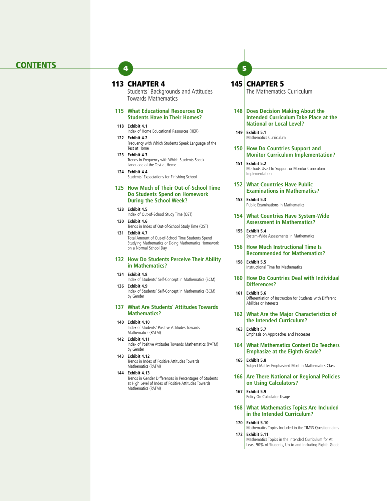## **CONTENTS <sup>4</sup>**

#### **113 CHAPTER 4**

Students' Backgrounds and Attitudes Towards Mathematics

#### **115 What Educational Resources Do Students Have in Their Homes?**

- **118 Exhibit 4.1** Index of Home Educational Resources (HER)
- **122 Exhibit 4.2** Frequency with Which Students Speak Language of the Test at Home
- **123 Exhibit 4.3** Trends in Frequency with Which Students Speak Language of the Test at Home
- **124 Exhibit 4.4** Students' Expectations for Finishing School

#### **125 How Much of Their Out-of-School Time Do Students Spend on Homework During the School Week?**

- **128 Exhibit 4.5** Index of Out-of-School Study Time (OST)
- **130 Exhibit 4.6** Trends in Index of Out-of-School Study Time (OST)

**131 Exhibit 4.7** Total Amount of Out-of-School Time Students Spend Studying Mathematics or Doing Mathematics Homework on a Normal School Day

#### **132 How Do Students Perceive Their Ability in Mathematics?**

- **134 Exhibit 4.8** Index of Students' Self-Concept in Mathematics (SCM)
- **136 Exhibit 4.9** Index of Students' Self-Concept in Mathematics (SCM) by Gender

#### **137 What Are Students' Attitudes Towards Mathematics?**

#### **140 Exhibit 4.10**

Index of Students' Positive Attitudes Towards Mathematics (PATM)

- **142 Exhibit 4.11** Index of Positive Attitudes Towards Mathematics (PATM) by Gender
- **143 Exhibit 4.12** Trends in Index of Positive Attitudes Towards Mathematics (PATM)
- **144 Exhibit 4.13** Trends in Gender Differences in Percentages of Students

at High Level of Index of Positive Attitudes Towards Mathematics (PATM)

### **145 CHAPTER 5**

**5**

The Mathematics Curriculum

- **148 Does Decision Making About the Intended Curriculum Take Place at the National or Local Level?**
- **149 Exhibit 5.1** Mathematics Curriculum
- **150 How Do Countries Support and Monitor Curriculum Implementation?**
- **151 Exhibit 5.2** Methods Used to Support or Monitor Curriculum Implementation
- **152 What Countries Have Public Examinations in Mathematics?**
- **153 Exhibit 5.3** Public Examinations in Mathematics
- **154 What Countries Have System-Wide Assessment in Mathematics?**
- **155 Exhibit 5.4** System-Wide Assessments in Mathematics
- **156 How Much Instructional Time Is Recommended for Mathematics?**
- **158 Exhibit 5.5** Instructional Time for Mathematics
- **160 How Do Countries Deal with Individual Differences?**
- **161 Exhibit 5.6** Differentiation of Instruction for Students with Different Abilities or Interests
- **162 What Are the Major Characteristics of the Intended Curriculum?**
- **163 Exhibit 5.7** Emphasis on Approaches and Processes
- **164 What Mathematics Content Do Teachers Emphasize at the Eighth Grade?**
- **165 Exhibit 5.8** Subject Matter Emphasized Most in Mathematics Class
- **166 Are There National or Regional Policies on Using Calculators?**
- **167 Exhibit 5.9** Policy On Calculator Usage
- **168 What Mathematics Topics Are Included in the Intended Curriculum?**
- **170 Exhibit 5.10**
- Mathematics Topics Included in the TIMSS Questionnaires **172 Exhibit 5.11**

Mathematics Topics in the Intended Curriculum for At Least 90% of Students, Up to and Including Eighth Grade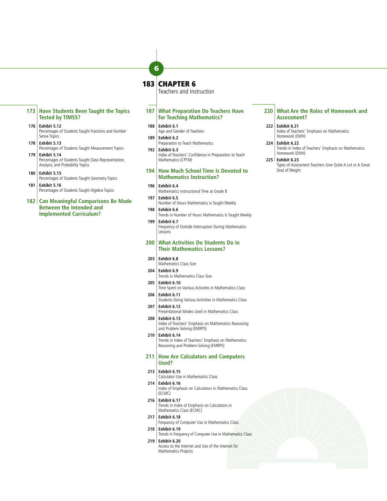### **183 CHAPTER 6**

**6**

Teachers and Instruction

#### **187 What Preparation Do Teachers Have for Teaching Mathematics?**

- **188 Exhibit 6.1** Age and Gender of Teachers
- **189 Exhibit 6.2** Preparation to Teach Mathematics
- **192 Exhibit 6.3** Index of Teachers' Confidence in Preparation to Teach Mathematics (CPTM)

#### **194 How Much School Time Is Devoted to Mathematics Instruction?**

- **196 Exhibit 6.4** Mathematics Instructional Time at Grade 8
- **197 Exhibit 6.5** Number of Hours Mathematics Is Taught Weekly
- **198 Exhibit 6.6** Trends in Number of Hours Mathematics Is Taught Weekly **199 Exhibit 6.7**
- Frequency of Outside Interruption During Mathematics Lessons

#### **200 What Activities Do Students Do in Their Mathematics Lessons?**

- **203 Exhibit 6.8**
- Mathematics Class Size **204 Exhibit 6.9**
- Trends in Mathematics Class Size
- **205 Exhibit 6.10**
- Time Spent on Various Activities in Mathematics Class **206 Exhibit 6.11**
- Students Doing Various Activities in Mathematics Class **207 Exhibit 6.12**
- Presentational Modes Used in Mathematics Class **208 Exhibit 6.13** Index of Teachers' Emphasis on Mathematics Reasoning
- and Problem-Solving (EMRPS) **210 Exhibit 6.14**

Trends in Index of Teachers' Emphasis on Mathematics Reasoning and Problem-Solving (EMRPS)

- **211 How Are Calculators and Computers Used?**
- **213 Exhibit 6.15**
	- Calculator Use in Mathematics Class
- **214 Exhibit 6.16** Index of Emphasis on Calculators in Mathematics Class (ECMC)
- **216 Exhibit 6.17** Trends in Index of Emphasis on Calculators in Mathematics Class (ECMC)
- **217 Exhibit 6.18** Frequency of Computer Use in Mathematics Class
- **218 Exhibit 6.19** Trends in Frequency of Computer Use in Mathematics Class **219 Exhibit 6.20**
- Access to the Internet and Use of the Internet for Mathematics Projects

#### **220 What Are the Roles of Homework and Assessment?**

#### **222 Exhibit 6.21**

Index of Teachers' Emphasis on Mathematics Homework (EMH)

#### **224 Exhibit 6.22**

Trends in Index of Teachers' Emphasis on Mathematics Homework (EMH)

#### **225 Exhibit 6.23**

Types of Assessment Teachers Give Quite A Lot or A Great Deal of Weight

**Tested by TIMSS? 176 Exhibit 5.12**

**173 Have Students Been Taught the Topics**

- Percentages of Students Taught Fractions and Number Sense Topics
- **178 Exhibit 5.13** Percentages of Students Taught Measurement Topics **179 Exhibit 5.14**
- Percentages of Students Taught Data Representation, Analysis, and Probability Topics
- **180 Exhibit 5.15** Percentages of Students Taught Geometry Topics
- **181 Exhibit 5.16** Percentages of Students Taught Algebra Topics
- **182 Can Meaningful Comparisons Be Made Between the Intended and Implemented Curriculum?**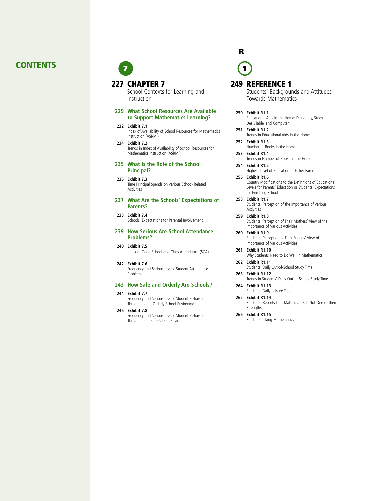#### **CONTENTS**

## **227 CHAPTER 7**

**7**

School Contexts for Learning and Instruction

#### **229 What School Resources Are Available to Support Mathematics Learning?**

**232 Exhibit 7.1** Index of Availability of School Resources for Mathematics Instruction (ASRMI) **234 Exhibit 7.2**

Trends in Index of Availability of School Resources for Mathematics Instruction (ASRMI)

#### **235 What Is the Role of the School Principal?**

**236 Exhibit 7.3** Time Principal Spends on Various School-Related **Activities** 

#### **237 What Are the Schools' Expectations of Parents?**

**238 Exhibit 7.4** Schools' Expectations for Parental Involvement

#### **239 How Serious Are School Attendance Problems?**

**240 Exhibit 7.5** Index of Good School and Class Attendance (SCA)

**242 Exhibit 7.6** Frequency and Seriousness of Student Attendance Problems

#### **243 How Safe and Orderly Are Schools?**

- **244 Exhibit 7.7**
	- Frequency and Seriousness of Student Behavior Threatening an Orderly School Environment
- **246 Exhibit 7.8** Frequency and Seriousness of Student Behavior Threatening a Safe School Environment

## **249 REFERENCE 1**

**1**

**R**

Students' Backgrounds and Attitudes Towards Mathematics

- **250 Exhibit R1.1** Educational Aids in the Home: Dictionary, Study Desk/Table, and Computer
- **251 Exhibit R1.2** Trends in Educational Aids in the Home
- **252 Exhibit R1.3** Number of Books in the Home
- **253 Exhibit R1.4** Trends in Number of Books in the Home
- **254 Exhibit R1.5** Highest Level of Education of Either Parent
- **256 Exhibit R1.6**  Country Modifications to the Definitions of Educational Levels for Parents' Education or Students' Expectations for Finishing School
- **258 Exhibit R1.7** Students' Perception of the Importance of Various Activities
- **259 Exhibit R1.8** Students' Perception of Their Mothers' View of the Importance of Various Activities
- **260 Exhibit R1.9** Students' Perception of Their Friends' View of the Importance of Various Activities
- **261 Exhibit R1.10** Why Students Need to Do Well in Mathematics
- **262 Exhibit R1.11** Students' Daily Out-of-School Study Time
- **263 Exhibit R1.12** Trends in Students' Daily Out-of-School Study Time
- **264 Exhibit R1.13** Students' Daily Leisure Time
- **265 Exhibit R1.14** Students' Reports That Mathematics Is Not One of Their Strengths
- **266 Exhibit R1.15** Students' Liking Mathematics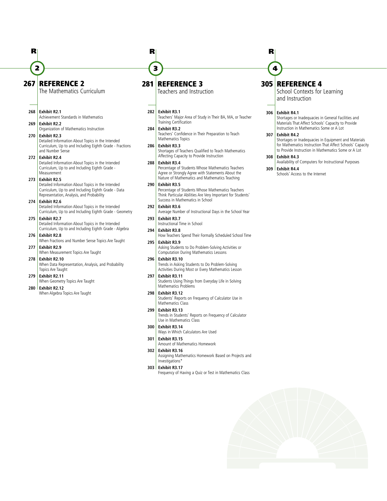## **267 REFERENCE 2**

The Mathematics Curriculum

#### **268 Exhibit R2.1**

**2**

**R**

Achievement Standards in Mathematics **269 Exhibit R2.2**

Organization of Mathematics Instruction **270 Exhibit R2.3**

Detailed Information About Topics in the Intended Curriculum, Up to and Including Eighth Grade - Fractions and Number Sense

**272 Exhibit R2.4** Detailed Information About Topics in the Intended Curriculum, Up to and Including Eighth Grade - Measurement

#### **273 Exhibit R2.5**

Detailed Information About Topics in the Intended Curriculum, Up to and Including Eighth Grade - Data Representation, Analysis, and Probability

#### **274 Exhibit R2.6** Detailed Information About Topics in the Intended Curriculum, Up to and Including Eighth Grade - Geometry

**275 Exhibit R2.7** Detailed Information About Topics in the Intended Curriculum, Up to and Including Eighth Grade - Algebra

**276 Exhibit R2.8** When Fractions and Number Sense Topics Are Taught

**277 Exhibit R2.9** When Measurement Topics Are Taught

**278 Exhibit R2.10** When Data Representation, Analysis, and Probability Topics Are Taught

#### **279 Exhibit R2.11** When Geometry Topics Are Taught

**280 Exhibit R2.12** When Algebra Topics Are Taught

## **281 REFERENCE 3**

Teachers and Instruction

#### **282 Exhibit R3.1**

**3**

**R**

Teachers' Major Area of Study in Their BA, MA, or Teacher Training Certification

**284 Exhibit R3.2** Teachers' Confidence in Their Preparation to Teach Mathematics Topics

**286 Exhibit R3.3** Shortages of Teachers Qualified to Teach Mathematics Affecting Capacity to Provide Instruction **288 Exhibit R3.4**

#### Percentage of Students Whose Mathematics Teachers Agree or Strongly Agree with Statements About the Nature of Mathematics and Mathematics Teaching

- **290 Exhibit R3.5** Percentage of Students Whose Mathematics Teachers Think Particular Abilities Are Very Important for Students' Success in Mathematics in School
- **292 Exhibit R3.6** Average Number of Instructional Days in the School Year
- **293 Exhibit R3.7** Instructional Time in School
- **294 Exhibit R3.8** How Teachers Spend Their Formally Scheduled School Time
- **295 Exhibit R3.9** Asking Students to Do Problem-Solving Activities or Computation During Mathematics Lessons
- **296 Exhibit R3.10** Trends in Asking Students to Do Problem-Solving Activities During Most or Every Mathematics Lesson
- **297 Exhibit R3.11** Students Using Things from Everyday Life in Solving Mathematics Problems
- **298 Exhibit R3.12** Students' Reports on Frequency of Calculator Use in Mathematics Class

**299 Exhibit R3.13** Trends in Students' Reports on Frequency of Calculator Use in Mathematics Class

- **300 Exhibit R3.14** Ways in Which Calculators Are Used
- **301 Exhibit R3.15** Amount of Mathematics Homework
- **302 Exhibit R3.16** Assigning Mathematics Homework Based on Projects and Investigations\*
- **303 Exhibit R3.17** Frequency of Having a Quiz or Test in Mathematics Class

## **R**

**4**

### **305 REFERENCE 4**

School Contexts for Learning and Instruction

#### **306 Exhibit R4.1**

Shortages or Inadequacies in General Facilities and Materials That Affect Schools' Capacity to Provide Instruction in Mathematics Some or A Lot

#### **307 Exhibit R4.2**

Shortages or Inadequacies in Equipment and Materials for Mathematics Instruction That Affect Schools' Capacity to Provide Instruction in Mathematics Some or A Lot

#### **308 Exhibit R4.3**

Availability of Computers for Instructional Purposes **309 Exhibit R4.4**

Schools' Access to the Internet